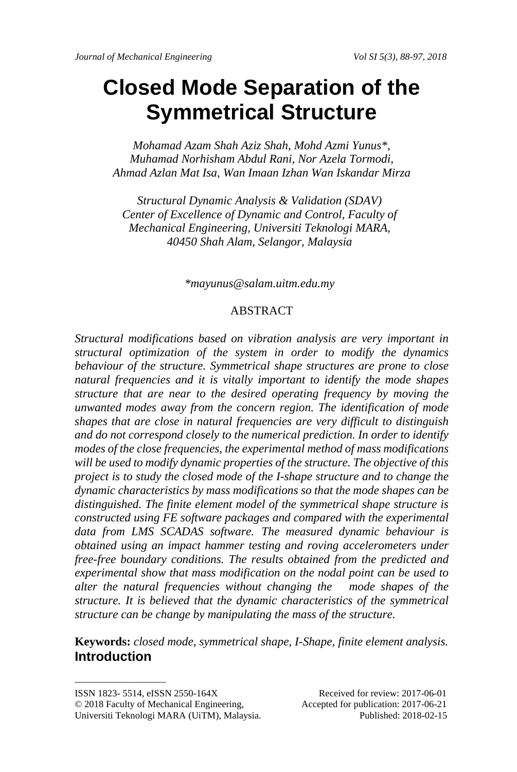# **Closed Mode Separation of the Symmetrical Structure**

*Mohamad Azam Shah Aziz Shah, Mohd Azmi Yunus\*, Muhamad Norhisham Abdul Rani, Nor Azela Tormodi, Ahmad Azlan Mat Isa, Wan Imaan Izhan Wan Iskandar Mirza*

*Structural Dynamic Analysis & Validation (SDAV) Center of Excellence of Dynamic and Control, Faculty of Mechanical Engineering, Universiti Teknologi MARA, 40450 Shah Alam, Selangor, Malaysia*

*[\\*mayunus@salam.uitm.edu.my](mailto:*mayunus@salam.uitm.edu.my)*

#### ABSTRACT

*Structural modifications based on vibration analysis are very important in structural optimization of the system in order to modify the dynamics behaviour of the structure. Symmetrical shape structures are prone to close natural frequencies and it is vitally important to identify the mode shapes structure that are near to the desired operating frequency by moving the unwanted modes away from the concern region. The identification of mode shapes that are close in natural frequencies are very difficult to distinguish and do not correspond closely to the numerical prediction. In order to identify modes of the close frequencies, the experimental method of mass modifications will be used to modify dynamic properties of the structure. The objective of this project is to study the closed mode of the I-shape structure and to change the dynamic characteristics by mass modifications so that the mode shapes can be distinguished. The finite element model of the symmetrical shape structure is constructed using FE software packages and compared with the experimental data from LMS SCADAS software. The measured dynamic behaviour is obtained using an impact hammer testing and roving accelerometers under free-free boundary conditions. The results obtained from the predicted and experimental show that mass modification on the nodal point can be used to alter the natural frequencies without changing the mode shapes of the structure. It is believed that the dynamic characteristics of the symmetrical structure can be change by manipulating the mass of the structure.*

**Keywords:** *closed mode, symmetrical shape, I-Shape, finite element analysis.* **Introduction**

\_\_\_\_\_\_\_\_\_\_\_\_\_\_\_\_\_\_\_

ISSN 1823- 5514, eISSN 2550-164X Received for review: 2017-06-01

<sup>© 2018</sup> Faculty of Mechanical Engineering, Accepted for publication: 2017-06-21 Universiti Teknologi MARA (UiTM), Malaysia. Published: 2018-02-15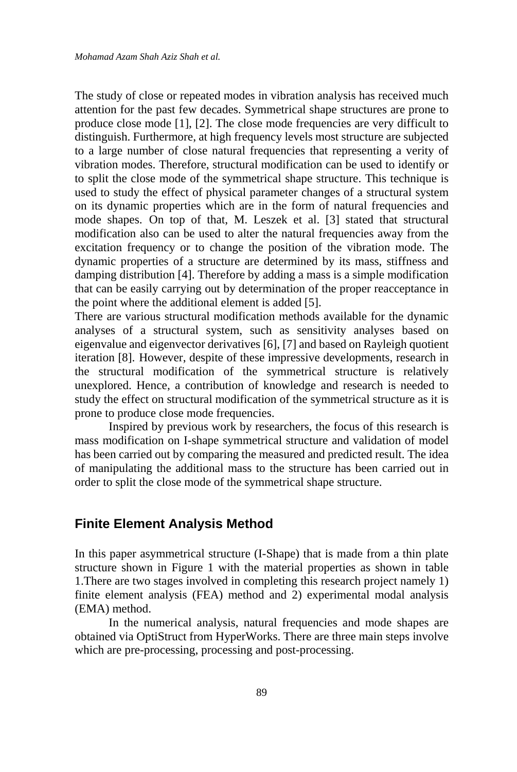The study of close or repeated modes in vibration analysis has received much attention for the past few decades. Symmetrical shape structures are prone to produce close mode [1], [2]. The close mode frequencies are very difficult to distinguish. Furthermore, at high frequency levels most structure are subjected to a large number of close natural frequencies that representing a verity of vibration modes. Therefore, structural modification can be used to identify or to split the close mode of the symmetrical shape structure. This technique is used to study the effect of physical parameter changes of a structural system on its dynamic properties which are in the form of natural frequencies and mode shapes. On top of that, M. Leszek et al. [3] stated that structural modification also can be used to alter the natural frequencies away from the excitation frequency or to change the position of the vibration mode. The dynamic properties of a structure are determined by its mass, stiffness and damping distribution [4]. Therefore by adding a mass is a simple modification that can be easily carrying out by determination of the proper reacceptance in the point where the additional element is added [5].

There are various structural modification methods available for the dynamic analyses of a structural system, such as sensitivity analyses based on eigenvalue and eigenvector derivatives [6], [7] and based on Rayleigh quotient iteration [8]. However, despite of these impressive developments, research in the structural modification of the symmetrical structure is relatively unexplored. Hence, a contribution of knowledge and research is needed to study the effect on structural modification of the symmetrical structure as it is prone to produce close mode frequencies.

Inspired by previous work by researchers, the focus of this research is mass modification on I-shape symmetrical structure and validation of model has been carried out by comparing the measured and predicted result. The idea of manipulating the additional mass to the structure has been carried out in order to split the close mode of the symmetrical shape structure.

#### **Finite Element Analysis Method**

In this paper asymmetrical structure (I-Shape) that is made from a thin plate structure shown in Figure 1 with the material properties as shown in table 1.There are two stages involved in completing this research project namely 1) finite element analysis (FEA) method and 2) experimental modal analysis (EMA) method.

In the numerical analysis, natural frequencies and mode shapes are obtained via OptiStruct from HyperWorks. There are three main steps involve which are pre-processing, processing and post-processing.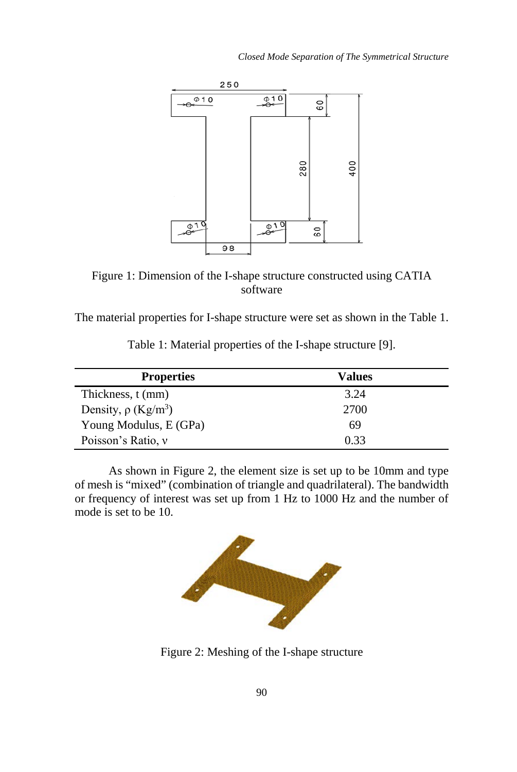

Figure 1: Dimension of the I-shape structure constructed using CATIA software

The material properties for I-shape structure were set as shown in the Table 1.

| <b>Properties</b>                    | Values |  |
|--------------------------------------|--------|--|
| Thickness, t (mm)                    | 3.24   |  |
| Density, $\rho$ (Kg/m <sup>3</sup> ) | 2700   |  |
| Young Modulus, E (GPa)               | 69     |  |
| Poisson's Ratio, v                   | 0.33   |  |

Table 1: Material properties of the I-shape structure [9].

As shown in Figure 2, the element size is set up to be 10mm and type of mesh is "mixed" (combination of triangle and quadrilateral). The bandwidth or frequency of interest was set up from 1 Hz to 1000 Hz and the number of mode is set to be 10.



Figure 2: Meshing of the I-shape structure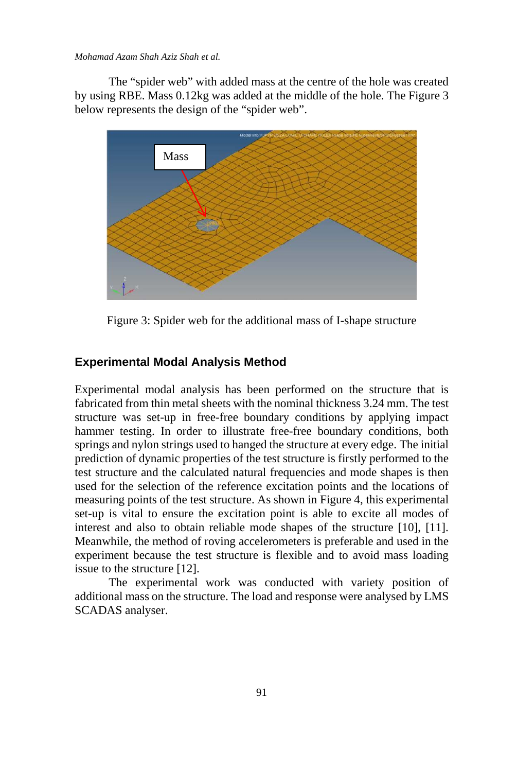*Mohamad Azam Shah Aziz Shah et al.*

The "spider web" with added mass at the centre of the hole was created by using RBE. Mass 0.12kg was added at the middle of the hole. The Figure 3 below represents the design of the "spider web".



Figure 3: Spider web for the additional mass of I-shape structure

## **Experimental Modal Analysis Method**

Experimental modal analysis has been performed on the structure that is fabricated from thin metal sheets with the nominal thickness 3.24 mm. The test structure was set-up in free-free boundary conditions by applying impact hammer testing. In order to illustrate free-free boundary conditions, both springs and nylon strings used to hanged the structure at every edge. The initial prediction of dynamic properties of the test structure is firstly performed to the test structure and the calculated natural frequencies and mode shapes is then used for the selection of the reference excitation points and the locations of measuring points of the test structure. As shown in Figure 4, this experimental set-up is vital to ensure the excitation point is able to excite all modes of interest and also to obtain reliable mode shapes of the structure [10], [11]. Meanwhile, the method of roving accelerometers is preferable and used in the experiment because the test structure is flexible and to avoid mass loading issue to the structure [12].

The experimental work was conducted with variety position of additional mass on the structure. The load and response were analysed by LMS SCADAS analyser.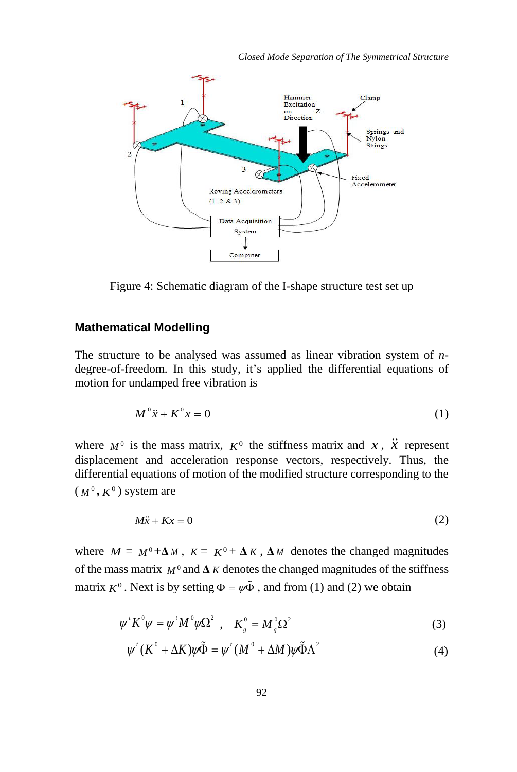

Figure 4: Schematic diagram of the I-shape structure test set up

# **Mathematical Modelling**

The structure to be analysed was assumed as linear vibration system of *n*degree-of-freedom. In this study, it's applied the differential equations of motion for undamped free vibration is

$$
M^{\circ}\ddot{x} + K^{\circ}x = 0\tag{1}
$$

where  $M^0$  is the mass matrix,  $K^0$  the stiffness matrix and x,  $\ddot{X}$  represent displacement and acceleration response vectors, respectively. Thus, the differential equations of motion of the modified structure corresponding to the  $(M^0, K^0)$  system are

$$
M\ddot{x} + Kx = 0 \tag{2}
$$

where  $M = M^0 + \Delta M$ ,  $K = K^0 + \Delta K$ ,  $\Delta M$  denotes the changed magnitudes of the mass matrix  $M^0$  and  $\Delta K$  denotes the changed magnitudes of the stiffness matrix  $K^0$ . Next is by setting  $\Phi = \psi \tilde{\Phi}$ , and from (1) and (2) we obtain

$$
\psi^{\prime} K^{0} \psi = \psi^{\prime} M^{0} \psi \Omega^{2} , \quad K_{g}^{0} = M_{g}^{0} \Omega^{2}
$$
 (3)

$$
\psi'(K^0 + \Delta K)\psi\tilde{\Phi} = \psi'(M^0 + \Delta M)\psi\tilde{\Phi}\Lambda^2
$$
 (4)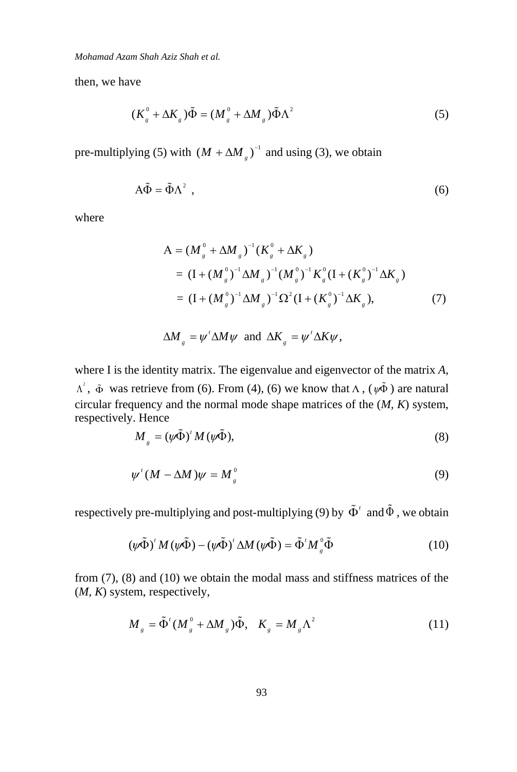*Mohamad Azam Shah Aziz Shah et al.*

then, we have

$$
(K_s^0 + \Delta K_s)\tilde{\Phi} = (M_s^0 + \Delta M_s)\tilde{\Phi}\Lambda^2
$$
 (5)

pre-multiplying (5) with  $(M + \Delta M_g)^{-1}$  and using (3), we obtain

$$
A\tilde{\Phi} = \tilde{\Phi}\Lambda^2 \tag{6}
$$

where

$$
A = (M_g^0 + \Delta M_g)^{-1} (K_g^0 + \Delta K_g)
$$
  
=  $(I + (M_g^0)^{-1} \Delta M_g)^{-1} (M_g^0)^{-1} K_g^0 (I + (K_g^0)^{-1} \Delta K_g)$   
=  $(I + (M_g^0)^{-1} \Delta M_g)^{-1} \Omega^2 (I + (K_g^0)^{-1} \Delta K_g),$  (7)

$$
\Delta M_{g} = \psi^{\dagger} \Delta M \psi \text{ and } \Delta K_{g} = \psi^{\dagger} \Delta K \psi,
$$

where I is the identity matrix. The eigenvalue and eigenvector of the matrix *A*,  $\Lambda^2$ ,  $\tilde{\Phi}$  was retrieve from (6). From (4), (6) we know that  $\Lambda$ , ( $\psi \tilde{\Phi}$ ) are natural circular frequency and the normal mode shape matrices of the (*M, K*) system, respectively. Hence

$$
M_{g} = (\psi \tilde{\Phi})^{\dagger} M (\psi \tilde{\Phi}), \tag{8}
$$

$$
\psi'(M - \Delta M)\psi = M_g^0 \tag{9}
$$

respectively pre-multiplying and post-multiplying (9) by  $\tilde{\Phi}^t$  and  $\tilde{\Phi}$ , we obtain

$$
(\psi \tilde{\Phi})^{\prime} M (\psi \tilde{\Phi}) - (\psi \tilde{\Phi})^{\prime} \Delta M (\psi \tilde{\Phi}) = \tilde{\Phi}^{\prime} M_{g}^{0} \tilde{\Phi}
$$
 (10)

from (7), (8) and (10) we obtain the modal mass and stiffness matrices of the (*M, K*) system, respectively,

$$
M_{g} = \tilde{\Phi}^{t} (M_{g}^{0} + \Delta M_{g}) \tilde{\Phi}, \quad K_{g} = M_{g} \Lambda^{2}
$$
 (11)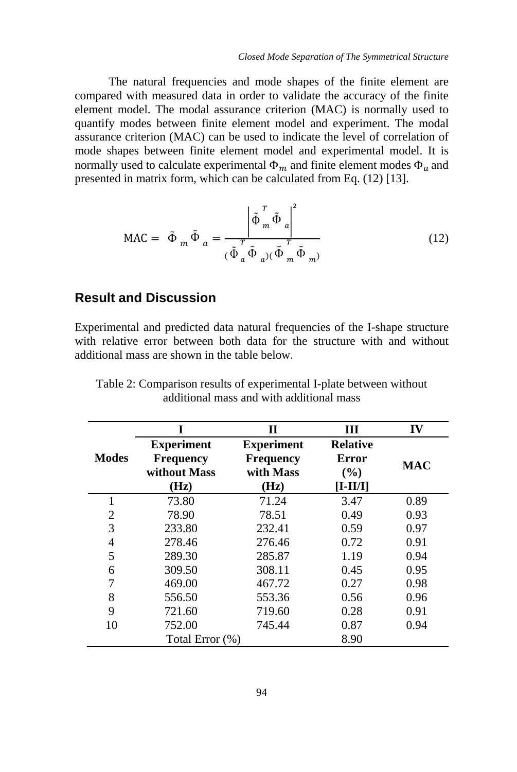The natural frequencies and mode shapes of the finite element are compared with measured data in order to validate the accuracy of the finite element model. The modal assurance criterion (MAC) is normally used to quantify modes between finite element model and experiment. The modal assurance criterion (MAC) can be used to indicate the level of correlation of mode shapes between finite element model and experimental model. It is normally used to calculate experimental  $\Phi_m$  and finite element modes  $\Phi_a$  and presented in matrix form, which can be calculated from Eq. (12) [13].

$$
\text{MAC} = \tilde{\Phi}_m \tilde{\Phi}_a = \frac{\left| \tilde{\Phi}_m^T \tilde{\Phi}_a \right|^2}{(\tilde{\Phi}_a^T \tilde{\Phi}_a)(\tilde{\Phi}_m^T \tilde{\Phi}_m)}
$$
(12)

# **Result and Discussion**

Experimental and predicted data natural frequencies of the I-shape structure with relative error between both data for the structure with and without additional mass are shown in the table below.

|              |                                                               | П                                                          | Ш                                             | IV         |
|--------------|---------------------------------------------------------------|------------------------------------------------------------|-----------------------------------------------|------------|
| <b>Modes</b> | <b>Experiment</b><br><b>Frequency</b><br>without Mass<br>(Hz) | <b>Experiment</b><br><b>Frequency</b><br>with Mass<br>(Hz) | <b>Relative</b><br>Error<br>(%)<br>$[I-II/I]$ | <b>MAC</b> |
| 1            | 73.80                                                         | 71.24                                                      | 3.47                                          | 0.89       |
| 2            | 78.90                                                         | 78.51                                                      | 0.49                                          | 0.93       |
| 3            | 233.80                                                        | 232.41                                                     | 0.59                                          | 0.97       |
| 4            | 278.46                                                        | 276.46                                                     | 0.72                                          | 0.91       |
| 5            | 289.30                                                        | 285.87                                                     | 1.19                                          | 0.94       |
| 6            | 309.50                                                        | 308.11                                                     | 0.45                                          | 0.95       |
|              | 469.00                                                        | 467.72                                                     | 0.27                                          | 0.98       |
| 8            | 556.50                                                        | 553.36                                                     | 0.56                                          | 0.96       |
| 9            | 721.60                                                        | 719.60                                                     | 0.28                                          | 0.91       |
| 10           | 752.00                                                        | 745.44                                                     | 0.87                                          | 0.94       |
|              | Total Error (%)                                               |                                                            | 8.90                                          |            |

Table 2: Comparison results of experimental I-plate between without additional mass and with additional mass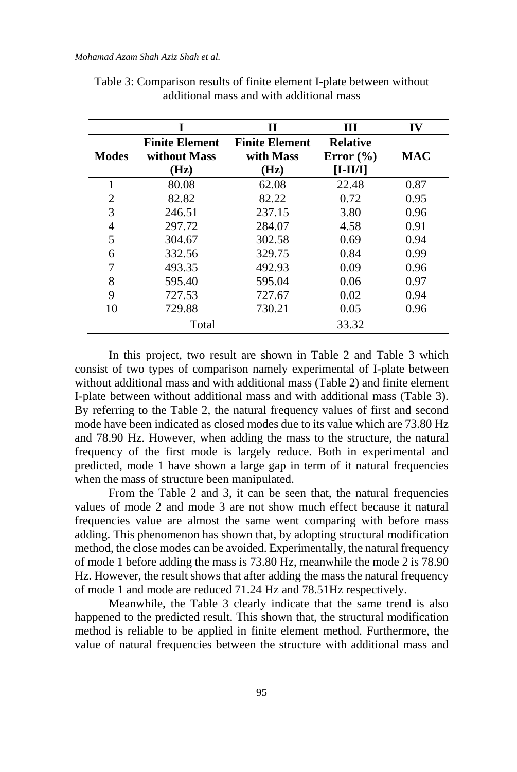|              |                                               | П                                          | Ш                                              | IV         |
|--------------|-----------------------------------------------|--------------------------------------------|------------------------------------------------|------------|
| <b>Modes</b> | <b>Finite Element</b><br>without Mass<br>(Hz) | <b>Finite Element</b><br>with Mass<br>(Hz) | <b>Relative</b><br>Error $(\% )$<br>$[I-II/I]$ | <b>MAC</b> |
| 1            | 80.08                                         | 62.08                                      | 22.48                                          | 0.87       |
| 2            | 82.82                                         | 82.22                                      | 0.72                                           | 0.95       |
| 3            | 246.51                                        | 237.15                                     | 3.80                                           | 0.96       |
| 4            | 297.72                                        | 284.07                                     | 4.58                                           | 0.91       |
| 5            | 304.67                                        | 302.58                                     | 0.69                                           | 0.94       |
| 6            | 332.56                                        | 329.75                                     | 0.84                                           | 0.99       |
|              | 493.35                                        | 492.93                                     | 0.09                                           | 0.96       |
| 8            | 595.40                                        | 595.04                                     | 0.06                                           | 0.97       |
| 9            | 727.53                                        | 727.67                                     | 0.02                                           | 0.94       |
| 10           | 729.88                                        | 730.21                                     | 0.05                                           | 0.96       |
|              | Total                                         |                                            | 33.32                                          |            |

Table 3: Comparison results of finite element I-plate between without additional mass and with additional mass

In this project, two result are shown in Table 2 and Table 3 which consist of two types of comparison namely experimental of I-plate between without additional mass and with additional mass (Table 2) and finite element I-plate between without additional mass and with additional mass (Table 3). By referring to the Table 2, the natural frequency values of first and second mode have been indicated as closed modes due to its value which are 73.80 Hz and 78.90 Hz. However, when adding the mass to the structure, the natural frequency of the first mode is largely reduce. Both in experimental and predicted, mode 1 have shown a large gap in term of it natural frequencies when the mass of structure been manipulated.

From the Table 2 and 3, it can be seen that, the natural frequencies values of mode 2 and mode 3 are not show much effect because it natural frequencies value are almost the same went comparing with before mass adding. This phenomenon has shown that, by adopting structural modification method, the close modes can be avoided. Experimentally, the natural frequency of mode 1 before adding the mass is 73.80 Hz, meanwhile the mode 2 is 78.90 Hz. However, the result shows that after adding the mass the natural frequency of mode 1 and mode are reduced 71.24 Hz and 78.51Hz respectively.

Meanwhile, the Table 3 clearly indicate that the same trend is also happened to the predicted result. This shown that, the structural modification method is reliable to be applied in finite element method. Furthermore, the value of natural frequencies between the structure with additional mass and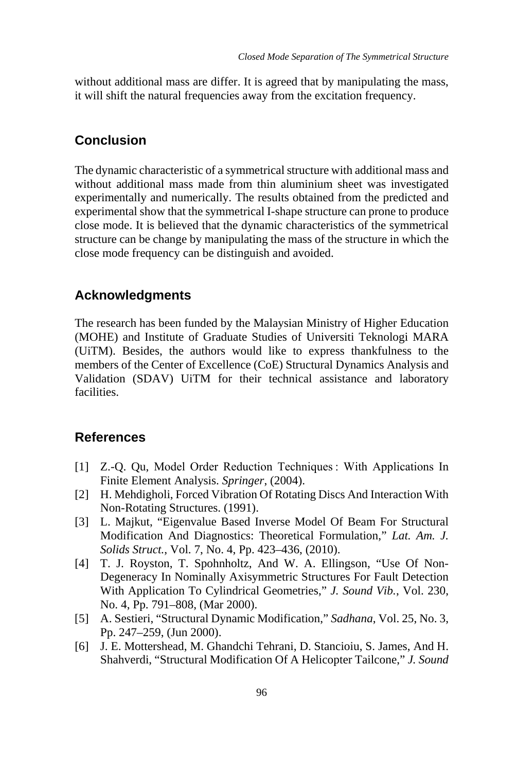without additional mass are differ. It is agreed that by manipulating the mass, it will shift the natural frequencies away from the excitation frequency.

# **Conclusion**

The dynamic characteristic of a symmetrical structure with additional mass and without additional mass made from thin aluminium sheet was investigated experimentally and numerically. The results obtained from the predicted and experimental show that the symmetrical I-shape structure can prone to produce close mode. It is believed that the dynamic characteristics of the symmetrical structure can be change by manipulating the mass of the structure in which the close mode frequency can be distinguish and avoided.

# **Acknowledgments**

The research has been funded by the Malaysian Ministry of Higher Education (MOHE) and Institute of Graduate Studies of Universiti Teknologi MARA (UiTM). Besides, the authors would like to express thankfulness to the members of the Center of Excellence (CoE) Structural Dynamics Analysis and Validation (SDAV) UiTM for their technical assistance and laboratory facilities.

# **References**

- [1] Z.-Q. Qu, Model Order Reduction Techniques : With Applications In Finite Element Analysis. *Springer*, (2004).
- [2] H. Mehdigholi, Forced Vibration Of Rotating Discs And Interaction With Non-Rotating Structures. (1991).
- [3] L. Majkut, "Eigenvalue Based Inverse Model Of Beam For Structural Modification And Diagnostics: Theoretical Formulation," *Lat. Am. J. Solids Struct.*, Vol. 7, No. 4, Pp. 423–436, (2010).
- [4] T. J. Royston, T. Spohnholtz, And W. A. Ellingson, "Use Of Non-Degeneracy In Nominally Axisymmetric Structures For Fault Detection With Application To Cylindrical Geometries," *J. Sound Vib.*, Vol. 230, No. 4, Pp. 791–808, (Mar 2000).
- [5] A. Sestieri, "Structural Dynamic Modification," *Sadhana*, Vol. 25, No. 3, Pp. 247–259, (Jun 2000).
- [6] J. E. Mottershead, M. Ghandchi Tehrani, D. Stancioiu, S. James, And H. Shahverdi, "Structural Modification Of A Helicopter Tailcone," *J. Sound*